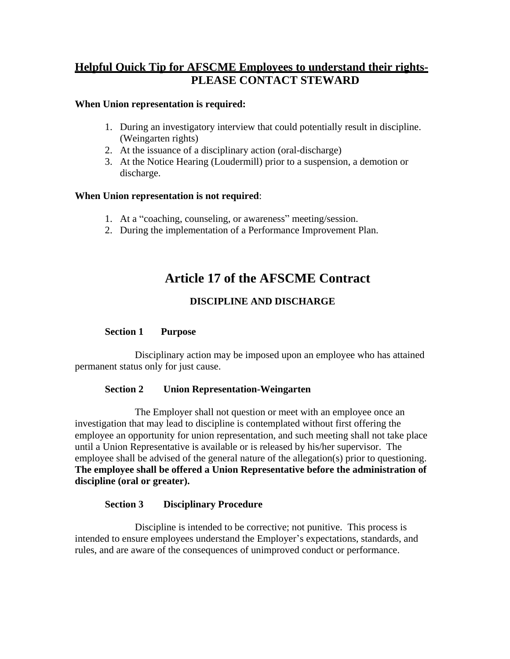# **Helpful Quick Tip for AFSCME Employees to understand their rights-PLEASE CONTACT STEWARD**

#### **When Union representation is required:**

- 1. During an investigatory interview that could potentially result in discipline. (Weingarten rights)
- 2. At the issuance of a disciplinary action (oral-discharge)
- 3. At the Notice Hearing (Loudermill) prior to a suspension, a demotion or discharge.

#### **When Union representation is not required**:

- 1. At a "coaching, counseling, or awareness" meeting/session.
- 2. During the implementation of a Performance Improvement Plan.

# **Article 17 of the AFSCME Contract**

# **DISCIPLINE AND DISCHARGE**

## **Section 1 Purpose**

Disciplinary action may be imposed upon an employee who has attained permanent status only for just cause.

## **Section 2 Union Representation-Weingarten**

The Employer shall not question or meet with an employee once an investigation that may lead to discipline is contemplated without first offering the employee an opportunity for union representation, and such meeting shall not take place until a Union Representative is available or is released by his/her supervisor. The employee shall be advised of the general nature of the allegation(s) prior to questioning. **The employee shall be offered a Union Representative before the administration of discipline (oral or greater).**

## **Section 3 Disciplinary Procedure**

Discipline is intended to be corrective; not punitive. This process is intended to ensure employees understand the Employer's expectations, standards, and rules, and are aware of the consequences of unimproved conduct or performance.